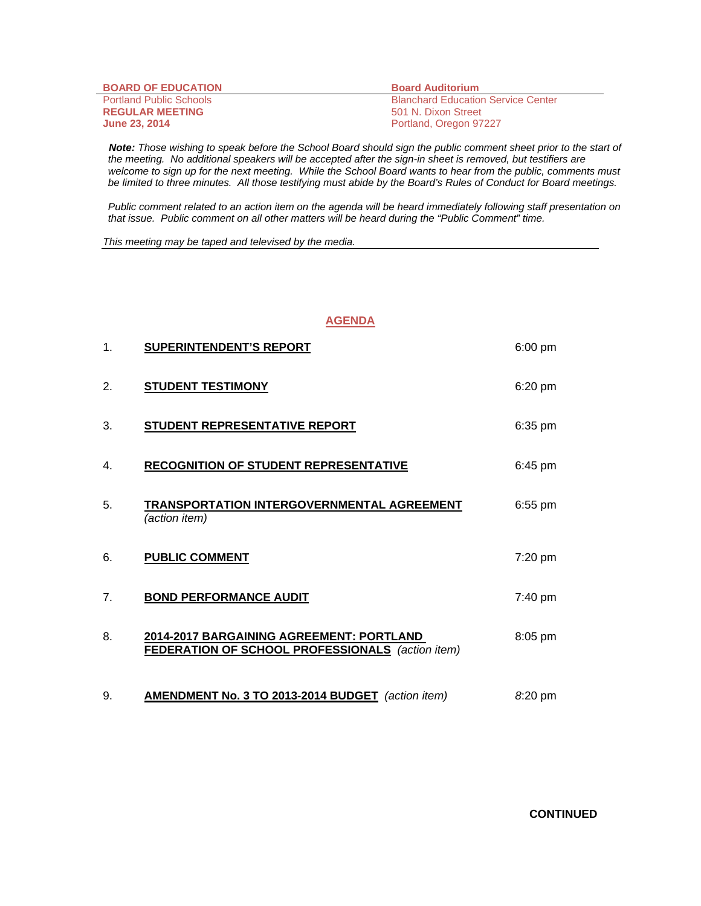| <b>BOARD OF EDUCATION</b>      | <b>Board Auditorium</b>                   |
|--------------------------------|-------------------------------------------|
| <b>Portland Public Schools</b> | <b>Blanchard Education Service Center</b> |
| <b>REGULAR MEETING</b>         | 501 N. Dixon Street                       |
| <b>June 23, 2014</b>           | Portland, Oregon 97227                    |

 *Note: Those wishing to speak before the School Board should sign the public comment sheet prior to the start of the meeting. No additional speakers will be accepted after the sign-in sheet is removed, but testifiers are welcome to sign up for the next meeting. While the School Board wants to hear from the public, comments must be limited to three minutes. All those testifying must abide by the Board's Rules of Conduct for Board meetings.* 

 *Public comment related to an action item on the agenda will be heard immediately following staff presentation on that issue. Public comment on all other matters will be heard during the "Public Comment" time.* 

*This meeting may be taped and televised by the media.* 

## **AGENDA**

| 1. | <b>SUPERINTENDENT'S REPORT</b>                                                                      | $6:00$ pm |
|----|-----------------------------------------------------------------------------------------------------|-----------|
| 2. | <b>STUDENT TESTIMONY</b>                                                                            | $6:20$ pm |
| 3. | STUDENT REPRESENTATIVE REPORT                                                                       | $6:35$ pm |
| 4. | <b>RECOGNITION OF STUDENT REPRESENTATIVE</b>                                                        | $6:45$ pm |
| 5. | TRANSPORTATION INTERGOVERNMENTAL AGREEMENT<br>(action item)                                         | $6:55$ pm |
| 6. | <b>PUBLIC COMMENT</b>                                                                               | $7:20$ pm |
| 7. | <b>BOND PERFORMANCE AUDIT</b>                                                                       | 7:40 pm   |
| 8. | 2014-2017 BARGAINING AGREEMENT: PORTLAND<br><b>FEDERATION OF SCHOOL PROFESSIONALS</b> (action item) | $8:05$ pm |
| 9. | <b>AMENDMENT No. 3 TO 2013-2014 BUDGET</b> (action item)                                            | 8:20 pm   |